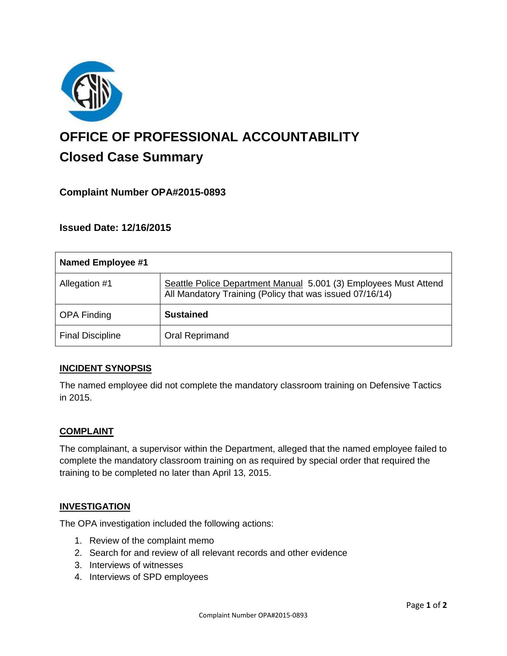

# **OFFICE OF PROFESSIONAL ACCOUNTABILITY Closed Case Summary**

# **Complaint Number OPA#2015-0893**

**Issued Date: 12/16/2015**

| Named Employee #1       |                                                                                                                              |
|-------------------------|------------------------------------------------------------------------------------------------------------------------------|
| Allegation #1           | Seattle Police Department Manual 5.001 (3) Employees Must Attend<br>All Mandatory Training (Policy that was issued 07/16/14) |
| <b>OPA Finding</b>      | <b>Sustained</b>                                                                                                             |
| <b>Final Discipline</b> | Oral Reprimand                                                                                                               |

## **INCIDENT SYNOPSIS**

The named employee did not complete the mandatory classroom training on Defensive Tactics in 2015.

## **COMPLAINT**

The complainant, a supervisor within the Department, alleged that the named employee failed to complete the mandatory classroom training on as required by special order that required the training to be completed no later than April 13, 2015.

#### **INVESTIGATION**

The OPA investigation included the following actions:

- 1. Review of the complaint memo
- 2. Search for and review of all relevant records and other evidence
- 3. Interviews of witnesses
- 4. Interviews of SPD employees